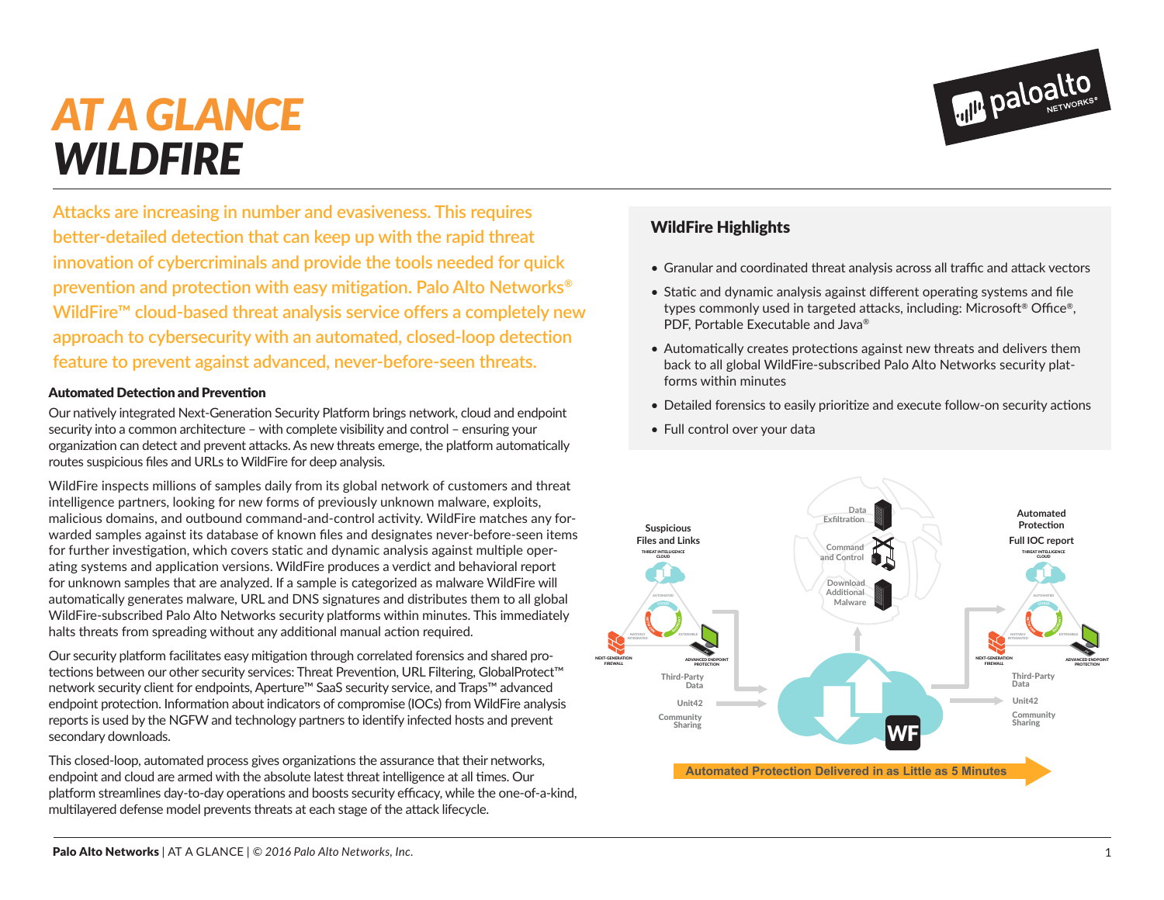## *AT A GLANCE WILDFIRE*

**Attacks are increasing in number and evasiveness. This requires better-detailed detection that can keep up with the rapid threat innovation of cybercriminals and provide the tools needed for quick prevention and protection with easy mitigation. Palo Alto Networks® WildFire™ cloud-based threat analysis service offers a completely new approach to cybersecurity with an automated, closed-loop detection feature to prevent against advanced, never-before-seen threats.**

## Automated Detection and Prevention

Our natively integrated Next-Generation Security Platform brings network, cloud and endpoint security into a common architecture – with complete visibility and control – ensuring your organization can detect and prevent attacks. As new threats emerge, the platform automatically routes suspicious files and URLs to WildFire for deep analysis.

WildFire inspects millions of samples daily from its global network of customers and threat intelligence partners, looking for new forms of previously unknown malware, exploits, malicious domains, and outbound command-and-control activity. WildFire matches any forwarded samples against its database of known files and designates never-before-seen items for further investigation, which covers static and dynamic analysis against multiple operating systems and application versions. WildFire produces a verdict and behavioral report for unknown samples that are analyzed. If a sample is categorized as malware WildFire will automatically generates malware, URL and DNS signatures and distributes them to all global WildFire-subscribed Palo Alto Networks security platforms within minutes. This immediately halts threats from spreading without any additional manual action required.

Our security platform facilitates easy mitigation through correlated forensics and shared protections between our other security services: Threat Prevention, URL Filtering, GlobalProtect™ network security client for endpoints, Aperture™ SaaS security service, and Traps™ advanced endpoint protection. Information about indicators of compromise (IOCs) from WildFire analysis reports is used by the NGFW and technology partners to identify infected hosts and prevent secondary downloads.

This closed-loop, automated process gives organizations the assurance that their networks, endpoint and cloud are armed with the absolute latest threat intelligence at all times. Our platform streamlines day-to-day operations and boosts security efficacy, while the one-of-a-kind, multilayered defense model prevents threats at each stage of the attack lifecycle.

## WildFire Highlights

- Granular and coordinated threat analysis across all traffic and attack vectors
- Static and dynamic analysis against different operating systems and file types commonly used in targeted attacks, including: Microsoft® Office®, PDF, Portable Executable and Java®
- Automatically creates protections against new threats and delivers them back to all global WildFire-subscribed Palo Alto Networks security platforms within minutes
- Detailed forensics to easily prioritize and execute follow-on security actions
- Full control over your data